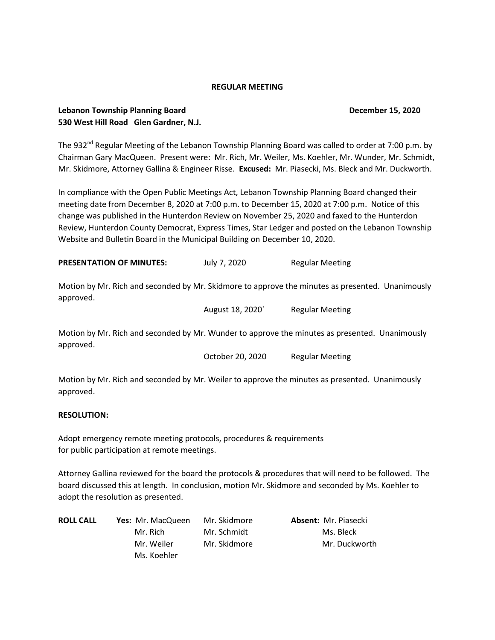#### **REGULAR MEETING**

## **Lebanon Township Planning Board December 15, 2020 530 West Hill Road Glen Gardner, N.J.**

The 932<sup>nd</sup> Regular Meeting of the Lebanon Township Planning Board was called to order at 7:00 p.m. by Chairman Gary MacQueen. Present were: Mr. Rich, Mr. Weiler, Ms. Koehler, Mr. Wunder, Mr. Schmidt, Mr. Skidmore, Attorney Gallina & Engineer Risse. **Excused:** Mr. Piasecki, Ms. Bleck and Mr. Duckworth.

In compliance with the Open Public Meetings Act, Lebanon Township Planning Board changed their meeting date from December 8, 2020 at 7:00 p.m. to December 15, 2020 at 7:00 p.m. Notice of this change was published in the Hunterdon Review on November 25, 2020 and faxed to the Hunterdon Review, Hunterdon County Democrat, Express Times, Star Ledger and posted on the Lebanon Township Website and Bulletin Board in the Municipal Building on December 10, 2020.

**PRESENTATION OF MINUTES:** July 7, 2020 Regular Meeting

Motion by Mr. Rich and seconded by Mr. Skidmore to approve the minutes as presented. Unanimously approved.

August 18, 2020` Regular Meeting

Motion by Mr. Rich and seconded by Mr. Wunder to approve the minutes as presented. Unanimously approved.

October 20, 2020 Regular Meeting

Motion by Mr. Rich and seconded by Mr. Weiler to approve the minutes as presented. Unanimously approved.

#### **RESOLUTION:**

Adopt emergency remote meeting protocols, procedures & requirements for public participation at remote meetings.

Attorney Gallina reviewed for the board the protocols & procedures that will need to be followed. The board discussed this at length. In conclusion, motion Mr. Skidmore and seconded by Ms. Koehler to adopt the resolution as presented.

| <b>ROLL CALL</b> | <b>Yes: Mr. MacQueen</b> | Mr. Skidmore | <b>Absent: Mr. Piasecki</b> |
|------------------|--------------------------|--------------|-----------------------------|
|                  | Mr. Rich                 | Mr. Schmidt  | Ms. Bleck                   |
|                  | Mr. Weiler               | Mr. Skidmore | Mr. Duckworth               |
|                  | Ms. Koehler              |              |                             |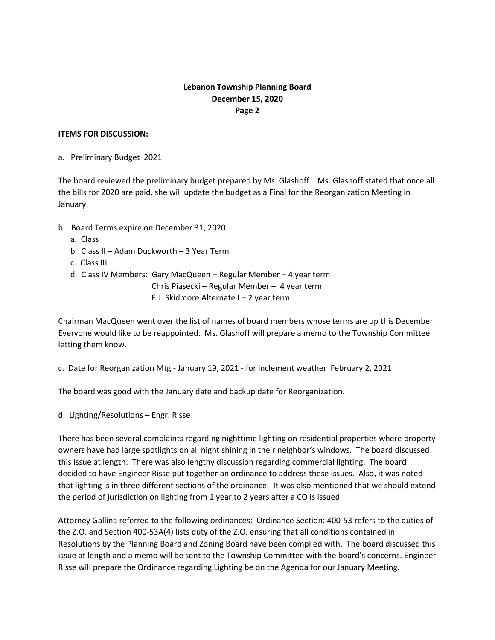# **Lebanon Township Planning Board December 15, 2020 Page 2**

#### **ITEMS FOR DISCUSSION:**

a. Preliminary Budget 2021

The board reviewed the preliminary budget prepared by Ms. Glashoff . Ms. Glashoff stated that once all the bills for 2020 are paid, she will update the budget as a Final for the Reorganization Meeting in January.

- b. Board Terms expire on December 31, 2020
	- a. Class I
	- b. Class II Adam Duckworth 3 Year Term
	- c. Class III
	- d. Class IV Members: Gary MacQueen Regular Member 4 year term
		- Chris Piasecki Regular Member 4 year term
			- E.J. Skidmore Alternate I 2 year term

Chairman MacQueen went over the list of names of board members whose terms are up this December. Everyone would like to be reappointed. Ms. Glashoff will prepare a memo to the Township Committee letting them know.

c. Date for Reorganization Mtg - January 19, 2021 - for inclement weather February 2, 2021

The board was good with the January date and backup date for Reorganization.

d. Lighting/Resolutions – Engr. Risse

There has been several complaints regarding nighttime lighting on residential properties where property owners have had large spotlights on all night shining in their neighbor's windows. The board discussed this issue at length. There was also lengthy discussion regarding commercial lighting. The board decided to have Engineer Risse put together an ordinance to address these issues. Also, it was noted that lighting is in three different sections of the ordinance. It was also mentioned that we should extend the period of jurisdiction on lighting from 1 year to 2 years after a CO is issued.

Attorney Gallina referred to the following ordinances: Ordinance Section: 400-53 refers to the duties of the Z.O. and Section 400-53A(4) lists duty of the Z.O. ensuring that all conditions contained in Resolutions by the Planning Board and Zoning Board have been complied with. The board discussed this issue at length and a memo will be sent to the Township Committee with the board's concerns. Engineer Risse will prepare the Ordinance regarding Lighting be on the Agenda for our January Meeting.